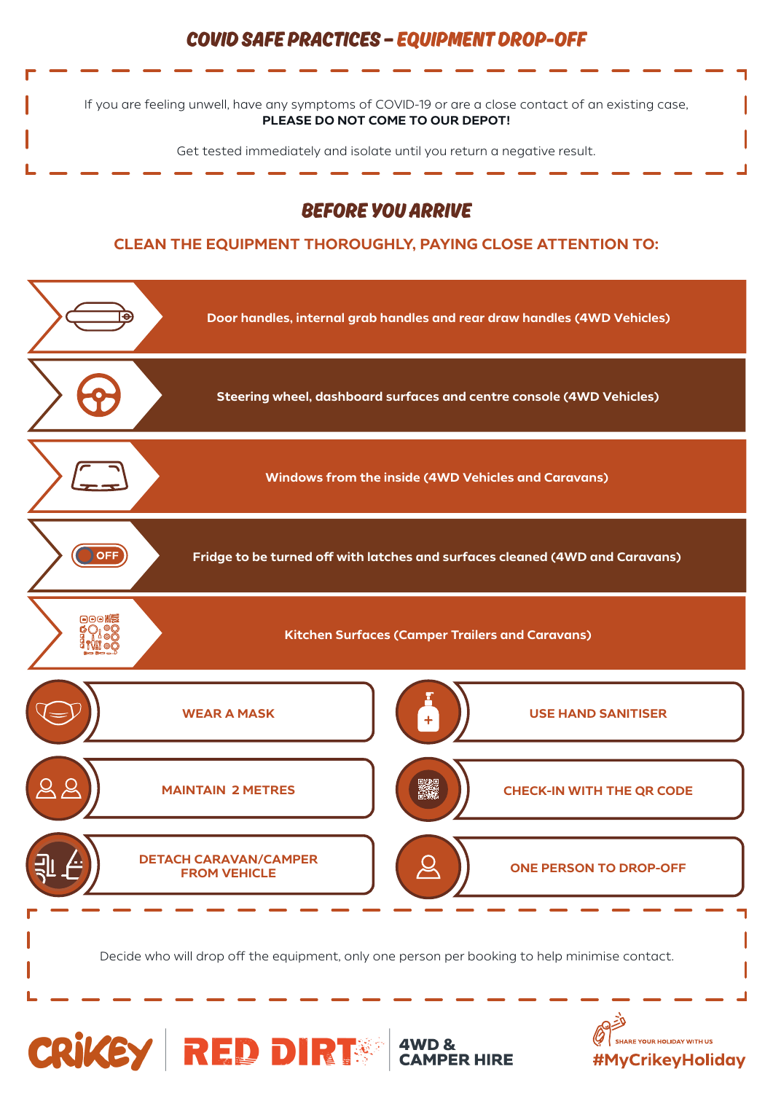## **COVID SAFE PRACTICES — EQUIPMENT DROP-OFF**

If you are feeling unwell, have any symptoms of COVID-19 or are a close contact of an existing case, **PLEASE DO NOT COME TO OUR DEPOT!**

Get tested immediately and isolate until you return a negative result.

## **BEFORE YOU ARRIVE**

## **CLEAN THE EQUIPMENT THOROUGHLY, PAYING CLOSE ATTENTION TO:**